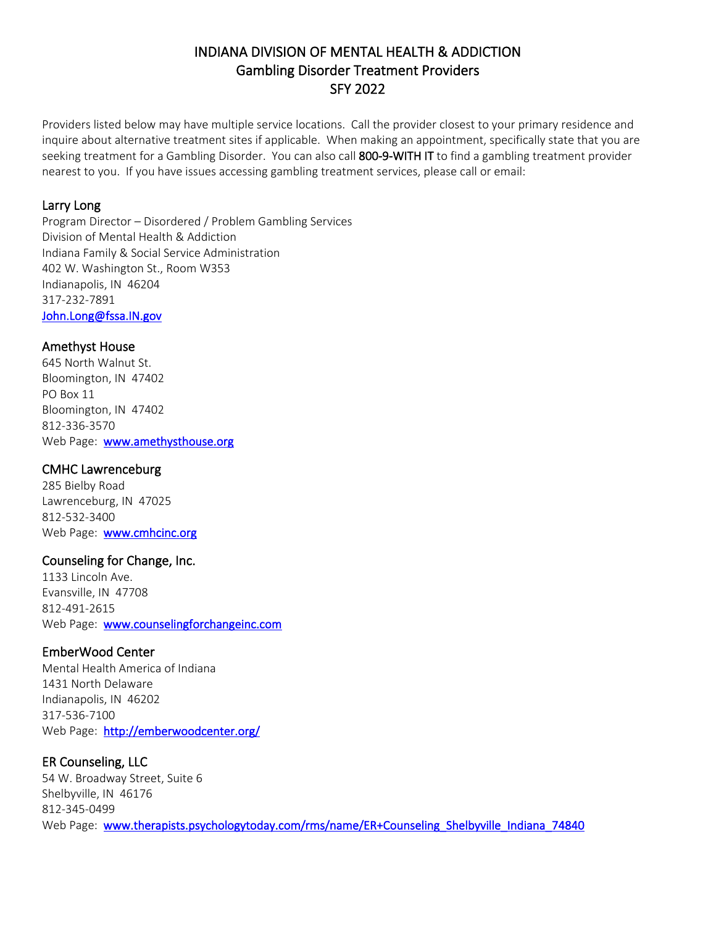# INDIANA DIVISION OF MENTAL HEALTH & ADDICTION Gambling Disorder Treatment Providers SFY 2022

Providers listed below may have multiple service locations. Call the provider closest to your primary residence and inquire about alternative treatment sites if applicable. When making an appointment, specifically state that you are seeking treatment for a Gambling Disorder. You can also call 800-9-WITH IT to find a gambling treatment provider nearest to you. If you have issues accessing gambling treatment services, please call or email:

### Larry Long

Program Director – Disordered / Problem Gambling Services Division of Mental Health & Addiction Indiana Family & Social Service Administration 402 W. Washington St., Room W353 Indianapolis, IN 46204 317-232-7891 [John.Long@fssa.IN.gov](mailto:John.Long@fssa.IN.gov) 

### Amethyst House

645 North Walnut St. Bloomington, IN 47402 PO Box 11 Bloomington, IN 47402 812-336-3570 Web Page: [www.amethysthouse.org](http://www.amethysthouse.org/)

# CMHC Lawrenceburg

285 Bielby Road Lawrenceburg, IN 47025 812-532-3400 Web Page: [www.cmhcinc.org](http://www.cmhcinc.org/)

# Counseling for Change, Inc.

1133 Lincoln Ave. Evansville, IN 47708 812-491-2615 Web Page: [www.counselingforchangeinc.com](http://www.counselingforchangeinc.com/) 

# EmberWood Center

Mental Health America of Indiana 1431 North Delaware Indianapolis, IN 46202 317-536-7100 Web Page: <http://emberwoodcenter.org/>

# ER Counseling, LLC

54 W. Broadway Street, Suite 6 Shelbyville, IN 46176 812-345-0499 Web Page: www.therapists.psychologytoday.com/rms/name/ER+Counseling\_Shelbyville\_Indiana\_74840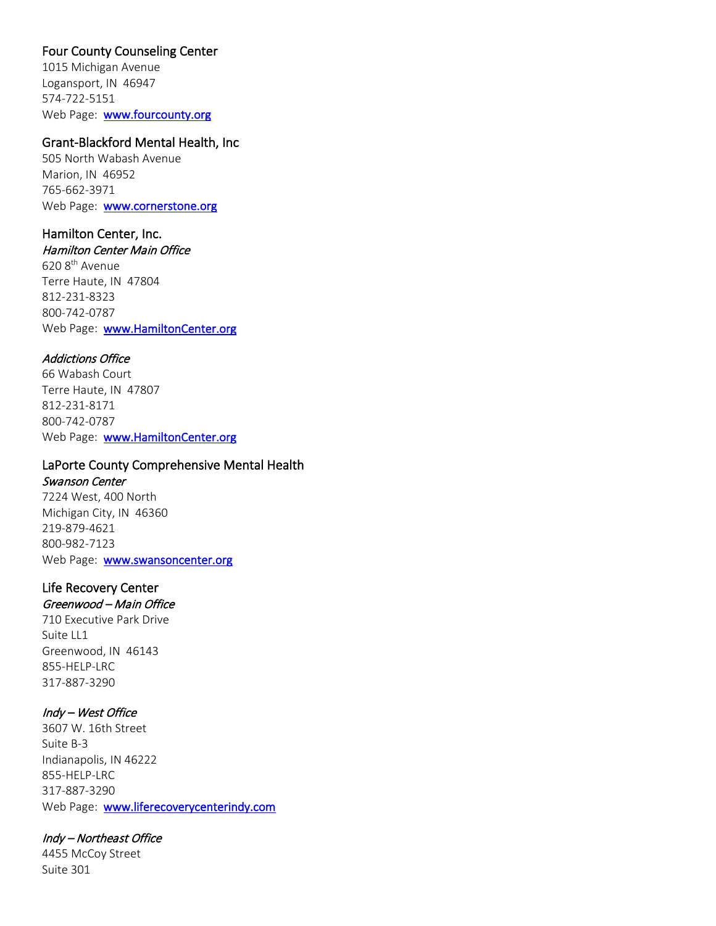# Four County Counseling Center

1015 Michigan Avenue Logansport, IN 46947 574-722-5151 Web Page: [www.fourcounty.org](http://www.fourcounty.org/)

### Grant-Blackford Mental Health, Inc

505 North Wabash Avenue Marion, IN 46952 765-662-3971 Web Page: **www.cornerstone.org** 

### Hamilton Center, Inc.

Hamilton Center Main Office 620 8th Avenue Terre Haute, IN 47804 812-231-8323 800-742-0787 Web Page: [www.HamiltonCenter.org](http://www.hamiltoncenter.org/) 

#### Addictions Office

66 Wabash Court Terre Haute, IN 47807 812-231-8171 800-742-0787 Web Page: www.HamiltonCenter.org

# LaPorte County Comprehensive Mental Health

Swanson Center 7224 West, 400 North Michigan City, IN 46360 219-879-4621 800-982-7123 Web Page: www.swansoncenter.org

# Life Recovery Center

# Greenwood – Main Office

710 Executive Park Drive Suite LL1 Greenwood, IN 46143 855-HELP-LRC 317-887-3290

### Indy – West Office

3607 W. 16th Street Suite B-3 Indianapolis, IN 46222 855-HELP-LRC 317-887-3290 Web Page: www.liferecoverycenterindy.com

### Indy – Northeast Office

4455 McCoy Street Suite 301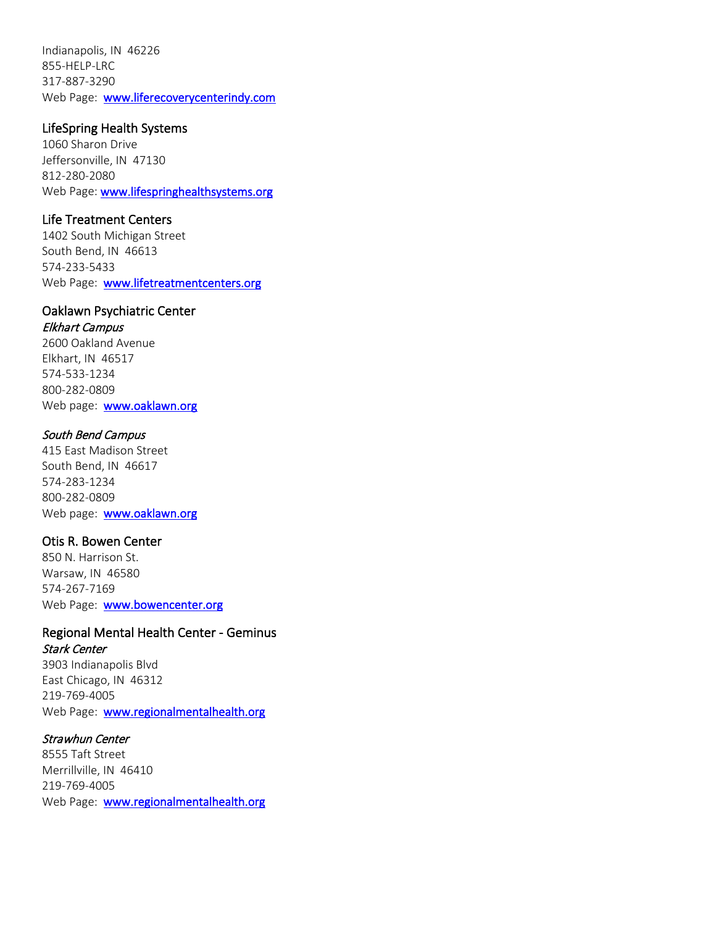Indianapolis, IN 46226 855-HELP-LRC 317-887-3290 Web Page: [www.liferecoverycenterindy.com](http://www.liferecoverycenterindy.com/) 

### LifeSpring Health Systems

1060 Sharon Drive Jeffersonville, IN 47130 812-280-2080 Web Page: www.lifespringhealthsystems.org

# Life Treatment Centers

1402 South Michigan Street South Bend, IN 46613 574-233-5433 Web Page: [www.lifetreatmentcenters.org](http://www.lifetreatmentcenters.org/)

# Oaklawn Psychiatric Center

# Elkhart Campus

2600 Oakland Avenue Elkhart, IN 46517 574-533-1234 800-282-0809 Web page: [www.oaklawn.org](http://www.oaklawn.org/)

### South Bend Campus

415 East Madison Street South Bend, IN 46617 574-283-1234 800-282-0809 Web page: www.oaklawn.org

### Otis R. Bowen Center

850 N. Harrison St. Warsaw, IN 46580 574-267-7169 Web Page: [www.bowencenter.org](http://www.bowencenter.org/)

# Regional Mental Health Center - Geminus Stark Center

3903 Indianapolis Blvd East Chicago, IN 46312 219-769-4005 Web Page: www.regionalmentalhealth.org

### Strawhun Center

8555 Taft Street Merrillville, IN 46410 219-769-4005 Web Page: [www.regionalmentalhealth.org](http://www.regionalmentalhealth.org/)